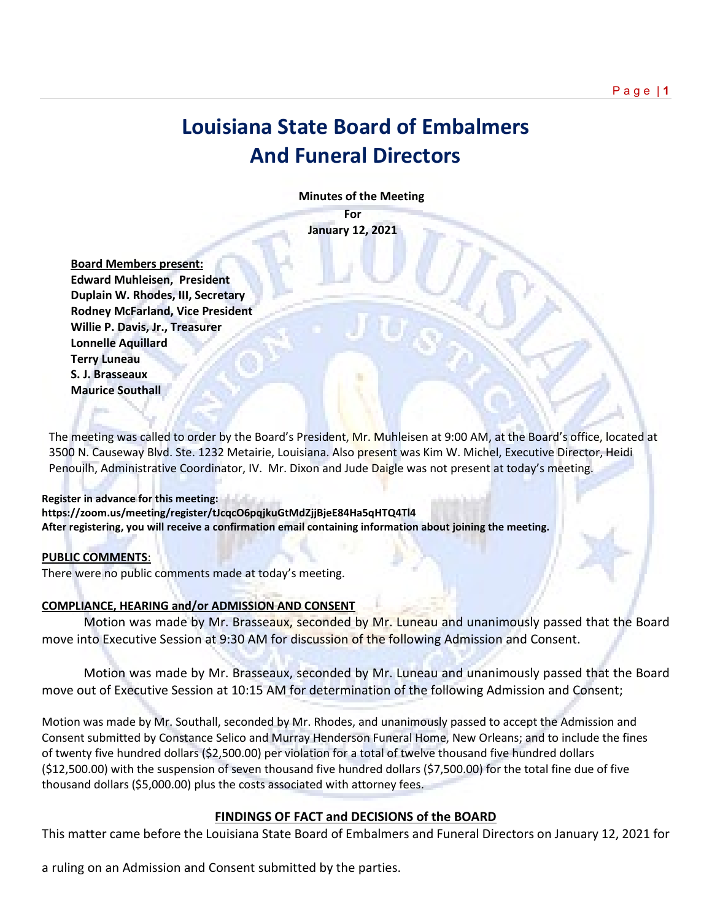# **Louisiana State Board of Embalmers And Funeral Directors**

 **Minutes of the Meeting**

**For January 12, 2021**

 **Board Members present: Edward Muhleisen, President Duplain W. Rhodes, III, Secretary Rodney McFarland, Vice President Willie P. Davis, Jr., Treasurer Lonnelle Aquillard Terry Luneau S. J. Brasseaux Maurice Southall** 

The meeting was called to order by the Board's President, Mr. Muhleisen at 9:00 AM, at the Board's office, located at 3500 N. Causeway Blvd. Ste. 1232 Metairie, Louisiana. Also present was Kim W. Michel, Executive Director, Heidi Penouilh, Administrative Coordinator, IV. Mr. Dixon and Jude Daigle was not present at today's meeting.

#### **Register in advance for this meeting:**

**https://zoom.us/meeting/register/tJcqcO6pqjkuGtMdZjjBjeE84Ha5qHTQ4Tl4 After registering, you will receive a confirmation email containing information about joining the meeting.**

#### **PUBLIC COMMENTS**:

There were no public comments made at today's meeting.

#### **COMPLIANCE, HEARING and/or ADMISSION AND CONSENT**

Motion was made by Mr. Brasseaux, seconded by Mr. Luneau and unanimously passed that the Board move into Executive Session at 9:30 AM for discussion of the following Admission and Consent.

Motion was made by Mr. Brasseaux, seconded by Mr. Luneau and unanimously passed that the Board move out of Executive Session at 10:15 AM for determination of the following Admission and Consent;

Motion was made by Mr. Southall, seconded by Mr. Rhodes, and unanimously passed to accept the Admission and Consent submitted by Constance Selico and Murray Henderson Funeral Home, New Orleans; and to include the fines of twenty five hundred dollars (\$2,500.00) per violation for a total of twelve thousand five hundred dollars (\$12,500.00) with the suspension of seven thousand five hundred dollars (\$7,500.00) for the total fine due of five thousand dollars (\$5,000.00) plus the costs associated with attorney fees.

#### **FINDINGS OF FACT and DECISIONS of the BOARD**

This matter came before the Louisiana State Board of Embalmers and Funeral Directors on January 12, 2021 for

a ruling on an Admission and Consent submitted by the parties.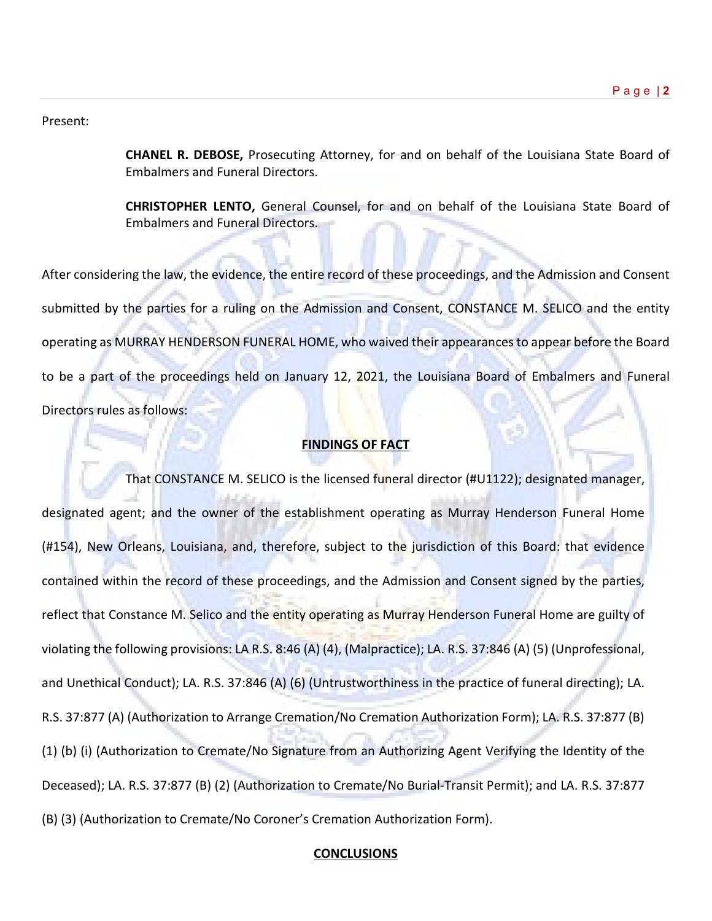#### Present:

**CHANEL R. DEBOSE,** Prosecuting Attorney, for and on behalf of the Louisiana State Board of Embalmers and Funeral Directors.

**CHRISTOPHER LENTO,** General Counsel, for and on behalf of the Louisiana State Board of Embalmers and Funeral Directors.

After considering the law, the evidence, the entire record of these proceedings, and the Admission and Consent submitted by the parties for a ruling on the Admission and Consent, CONSTANCE M. SELICO and the entity operating as MURRAY HENDERSON FUNERAL HOME, who waived their appearances to appear before the Board to be a part of the proceedings held on January 12, 2021, the Louisiana Board of Embalmers and Funeral Directors rules as follows:

#### **FINDINGS OF FACT**

That CONSTANCE M. SELICO is the licensed funeral director (#U1122); designated manager, designated agent; and the owner of the establishment operating as Murray Henderson Funeral Home (#154), New Orleans, Louisiana, and, therefore, subject to the jurisdiction of this Board: that evidence contained within the record of these proceedings, and the Admission and Consent signed by the parties, reflect that Constance M. Selico and the entity operating as Murray Henderson Funeral Home are guilty of violating the following provisions: LA R.S. 8:46 (A) (4), (Malpractice); LA. R.S. 37:846 (A) (5) (Unprofessional, and Unethical Conduct); LA. R.S. 37:846 (A) (6) (Untrustworthiness in the practice of funeral directing); LA. R.S. 37:877 (A) (Authorization to Arrange Cremation/No Cremation Authorization Form); LA. R.S. 37:877 (B) (1) (b) (i) (Authorization to Cremate/No Signature from an Authorizing Agent Verifying the Identity of the Deceased); LA. R.S. 37:877 (B) (2) (Authorization to Cremate/No Burial-Transit Permit); and LA. R.S. 37:877 (B) (3) (Authorization to Cremate/No Coroner's Cremation Authorization Form).

#### **CONCLUSIONS**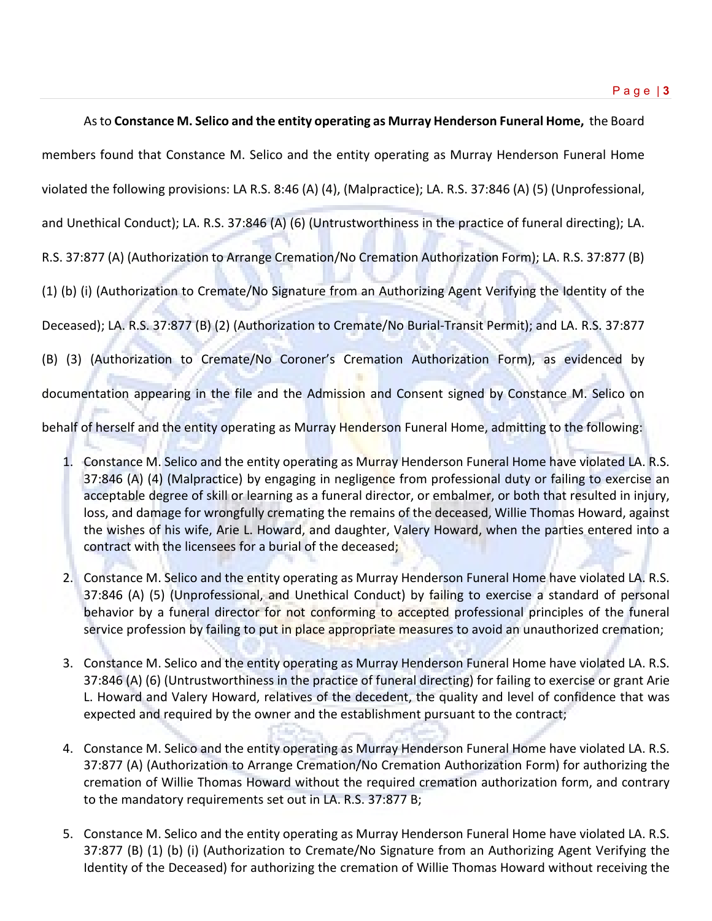As to **Constance M. Selico and the entity operating as Murray Henderson Funeral Home,** the Board

members found that Constance M. Selico and the entity operating as Murray Henderson Funeral Home

violated the following provisions: LA R.S. 8:46 (A) (4), (Malpractice); LA. R.S. 37:846 (A) (5) (Unprofessional,

and Unethical Conduct); LA. R.S. 37:846 (A) (6) (Untrustworthiness in the practice of funeral directing); LA.

R.S. 37:877 (A) (Authorization to Arrange Cremation/No Cremation Authorization Form); LA. R.S. 37:877 (B)

(1) (b) (i) (Authorization to Cremate/No Signature from an Authorizing Agent Verifying the Identity of the

Deceased); LA. R.S. 37:877 (B) (2) (Authorization to Cremate/No Burial-Transit Permit); and LA. R.S. 37:877

(B) (3) (Authorization to Cremate/No Coroner's Cremation Authorization Form), as evidenced by

documentation appearing in the file and the Admission and Consent signed by Constance M. Selico on

behalf of herself and the entity operating as Murray Henderson Funeral Home, admitting to the following:

- 1. Constance M. Selico and the entity operating as Murray Henderson Funeral Home have violated LA. R.S. 37:846 (A) (4) (Malpractice) by engaging in negligence from professional duty or failing to exercise an acceptable degree of skill or learning as a funeral director, or embalmer, or both that resulted in injury, loss, and damage for wrongfully cremating the remains of the deceased, Willie Thomas Howard, against the wishes of his wife, Arie L. Howard, and daughter, Valery Howard, when the parties entered into a contract with the licensees for a burial of the deceased;
- 2. Constance M. Selico and the entity operating as Murray Henderson Funeral Home have violated LA. R.S. 37:846 (A) (5) (Unprofessional, and Unethical Conduct) by failing to exercise a standard of personal behavior by a funeral director for not conforming to accepted professional principles of the funeral service profession by failing to put in place appropriate measures to avoid an unauthorized cremation;
- 3. Constance M. Selico and the entity operating as Murray Henderson Funeral Home have violated LA. R.S. 37:846 (A) (6) (Untrustworthiness in the practice of funeral directing) for failing to exercise or grant Arie L. Howard and Valery Howard, relatives of the decedent, the quality and level of confidence that was expected and required by the owner and the establishment pursuant to the contract;
- 4. Constance M. Selico and the entity operating as Murray Henderson Funeral Home have violated LA. R.S. 37:877 (A) (Authorization to Arrange Cremation/No Cremation Authorization Form) for authorizing the cremation of Willie Thomas Howard without the required cremation authorization form, and contrary to the mandatory requirements set out in LA. R.S. 37:877 B;
- 5. Constance M. Selico and the entity operating as Murray Henderson Funeral Home have violated LA. R.S. 37:877 (B) (1) (b) (i) (Authorization to Cremate/No Signature from an Authorizing Agent Verifying the Identity of the Deceased) for authorizing the cremation of Willie Thomas Howard without receiving the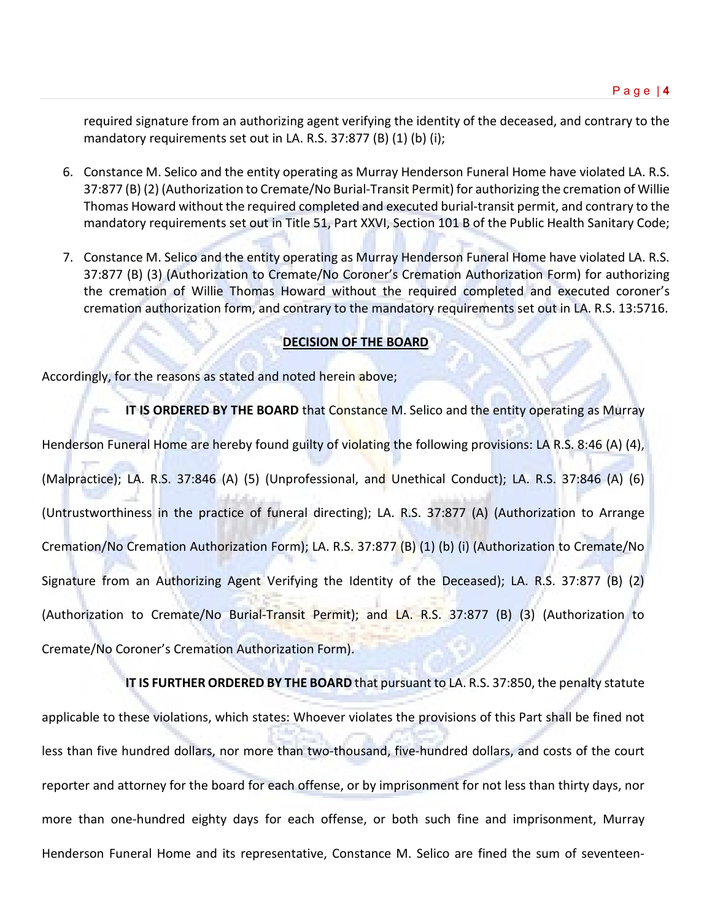required signature from an authorizing agent verifying the identity of the deceased, and contrary to the mandatory requirements set out in LA. R.S. 37:877 (B) (1) (b) (i);

- 6. Constance M. Selico and the entity operating as Murray Henderson Funeral Home have violated LA. R.S. 37:877 (B) (2) (Authorization to Cremate/No Burial-Transit Permit) for authorizing the cremation of Willie Thomas Howard without the required completed and executed burial-transit permit, and contrary to the mandatory requirements set out in Title 51, Part XXVI, Section 101 B of the Public Health Sanitary Code;
- 7. Constance M. Selico and the entity operating as Murray Henderson Funeral Home have violated LA. R.S. 37:877 (B) (3) (Authorization to Cremate/No Coroner's Cremation Authorization Form) for authorizing the cremation of Willie Thomas Howard without the required completed and executed coroner's cremation authorization form, and contrary to the mandatory requirements set out in LA. R.S. 13:5716.

### **DECISION OF THE BOARD**

Accordingly, for the reasons as stated and noted herein above;

**IT IS ORDERED BY THE BOARD** that Constance M. Selico and the entity operating as Murray Henderson Funeral Home are hereby found guilty of violating the following provisions: LA R.S. 8:46 (A) (4), (Malpractice); LA. R.S. 37:846 (A) (5) (Unprofessional, and Unethical Conduct); LA. R.S. 37:846 (A) (6) (Untrustworthiness in the practice of funeral directing); LA. R.S. 37:877 (A) (Authorization to Arrange Cremation/No Cremation Authorization Form); LA. R.S. 37:877 (B) (1) (b) (i) (Authorization to Cremate/No Signature from an Authorizing Agent Verifying the Identity of the Deceased); LA. R.S. 37:877 (B) (2) (Authorization to Cremate/No Burial-Transit Permit); and LA. R.S. 37:877 (B) (3) (Authorization to Cremate/No Coroner's Cremation Authorization Form).

**IT IS FURTHER ORDERED BY THE BOARD** that pursuant to LA. R.S. 37:850, the penalty statute applicable to these violations, which states: Whoever violates the provisions of this Part shall be fined not less than five hundred dollars, nor more than two-thousand, five-hundred dollars, and costs of the court reporter and attorney for the board for each offense, or by imprisonment for not less than thirty days, nor more than one-hundred eighty days for each offense, or both such fine and imprisonment, Murray Henderson Funeral Home and its representative, Constance M. Selico are fined the sum of seventeen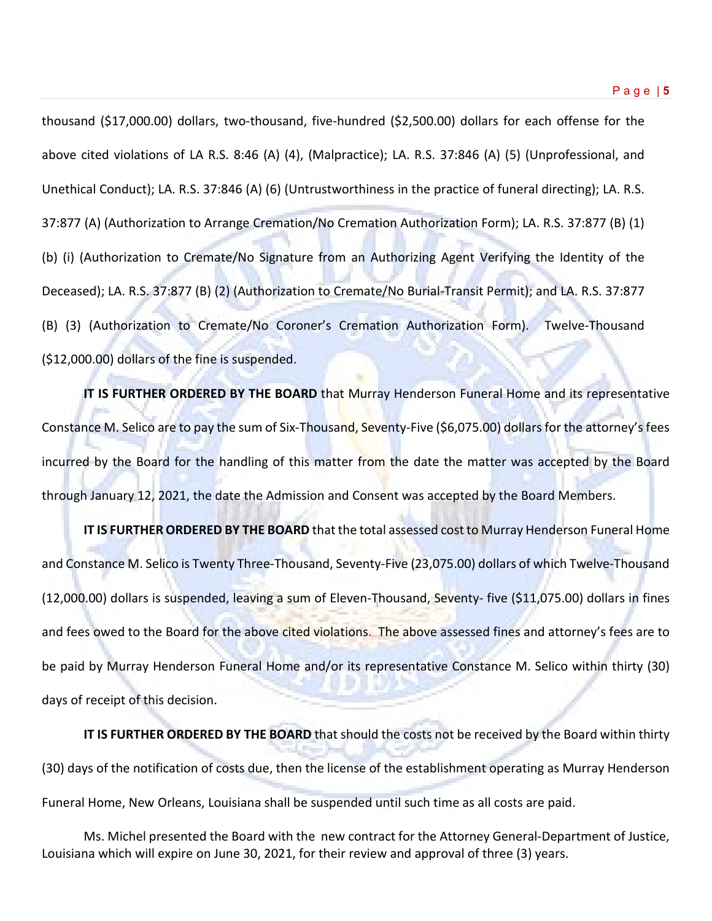thousand (\$17,000.00) dollars, two-thousand, five-hundred (\$2,500.00) dollars for each offense for the above cited violations of LA R.S. 8:46 (A) (4), (Malpractice); LA. R.S. 37:846 (A) (5) (Unprofessional, and Unethical Conduct); LA. R.S. 37:846 (A) (6) (Untrustworthiness in the practice of funeral directing); LA. R.S. 37:877 (A) (Authorization to Arrange Cremation/No Cremation Authorization Form); LA. R.S. 37:877 (B) (1) (b) (i) (Authorization to Cremate/No Signature from an Authorizing Agent Verifying the Identity of the Deceased); LA. R.S. 37:877 (B) (2) (Authorization to Cremate/No Burial-Transit Permit); and LA. R.S. 37:877 (B) (3) (Authorization to Cremate/No Coroner's Cremation Authorization Form). Twelve-Thousand (\$12,000.00) dollars of the fine is suspended.

**IT IS FURTHER ORDERED BY THE BOARD** that Murray Henderson Funeral Home and its representative Constance M. Selico are to pay the sum of Six-Thousand, Seventy-Five (\$6,075.00) dollars for the attorney's fees incurred by the Board for the handling of this matter from the date the matter was accepted by the Board through January 12, 2021, the date the Admission and Consent was accepted by the Board Members.

**IT IS FURTHER ORDERED BY THE BOARD** that the total assessed cost to Murray Henderson Funeral Home and Constance M. Selico is Twenty Three-Thousand, Seventy-Five (23,075.00) dollars of which Twelve-Thousand (12,000.00) dollars is suspended, leaving a sum of Eleven-Thousand, Seventy- five (\$11,075.00) dollars in fines and fees owed to the Board for the above cited violations. The above assessed fines and attorney's fees are to be paid by Murray Henderson Funeral Home and/or its representative Constance M. Selico within thirty (30) days of receipt of this decision.

**IT IS FURTHER ORDERED BY THE BOARD** that should the costs not be received by the Board within thirty (30) days of the notification of costs due, then the license of the establishment operating as Murray Henderson Funeral Home, New Orleans, Louisiana shall be suspended until such time as all costs are paid.

Ms. Michel presented the Board with the new contract for the Attorney General-Department of Justice, Louisiana which will expire on June 30, 2021, for their review and approval of three (3) years.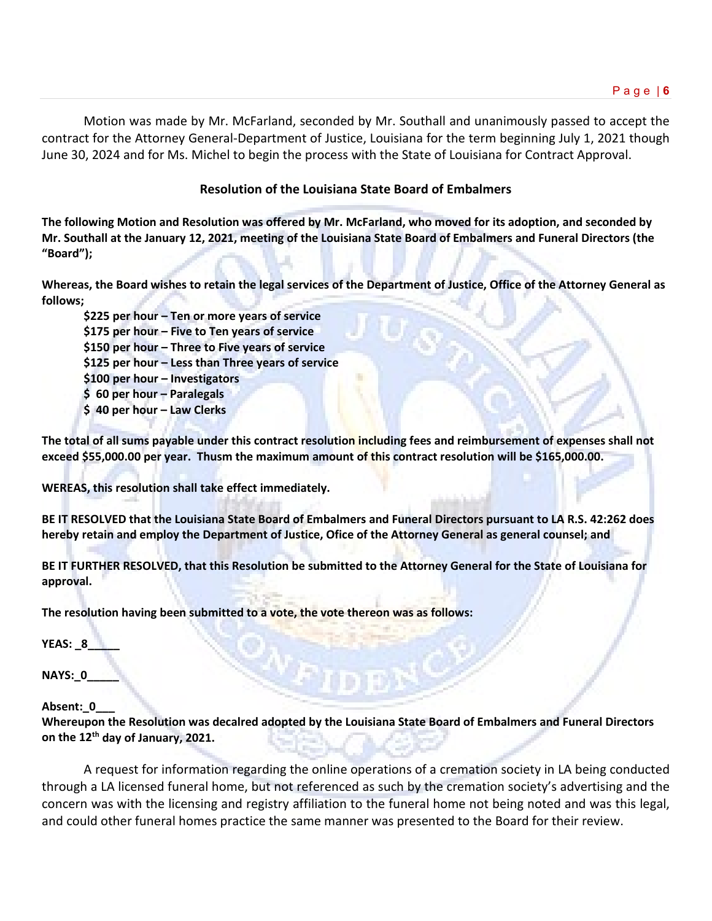Motion was made by Mr. McFarland, seconded by Mr. Southall and unanimously passed to accept the contract for the Attorney General-Department of Justice, Louisiana for the term beginning July 1, 2021 though June 30, 2024 and for Ms. Michel to begin the process with the State of Louisiana for Contract Approval.

## **Resolution of the Louisiana State Board of Embalmers**

**The following Motion and Resolution was offered by Mr. McFarland, who moved for its adoption, and seconded by Mr. Southall at the January 12, 2021, meeting of the Louisiana State Board of Embalmers and Funeral Directors (the "Board");**

**Whereas, the Board wishes to retain the legal services of the Department of Justice, Office of the Attorney General as follows;**

**\$225 per hour – Ten or more years of service \$175 per hour – Five to Ten years of service \$150 per hour – Three to Five years of service \$125 per hour – Less than Three years of service \$100 per hour – Investigators \$ 60 per hour – Paralegals \$ 40 per hour – Law Clerks**

**The total of all sums payable under this contract resolution including fees and reimbursement of expenses shall not exceed \$55,000.00 per year. Thusm the maximum amount of this contract resolution will be \$165,000.00.**

**WEREAS, this resolution shall take effect immediately.**

**BE IT RESOLVED that the Louisiana State Board of Embalmers and Funeral Directors pursuant to LA R.S. 42:262 does hereby retain and employ the Department of Justice, Ofice of the Attorney General as general counsel; and**

**BE IT FURTHER RESOLVED, that this Resolution be submitted to the Attorney General for the State of Louisiana for approval.**

**The resolution having been submitted to a vote, the vote thereon was as follows:**

**YEAS: \_8\_\_\_\_\_**

**NAYS:\_0\_\_\_\_\_**

#### **Absent:\_0\_\_\_**

**Whereupon the Resolution was decalred adopted by the Louisiana State Board of Embalmers and Funeral Directors on the 12th day of January, 2021.**

A request for information regarding the online operations of a cremation society in LA being conducted through a LA licensed funeral home, but not referenced as such by the cremation society's advertising and the concern was with the licensing and registry affiliation to the funeral home not being noted and was this legal, and could other funeral homes practice the same manner was presented to the Board for their review.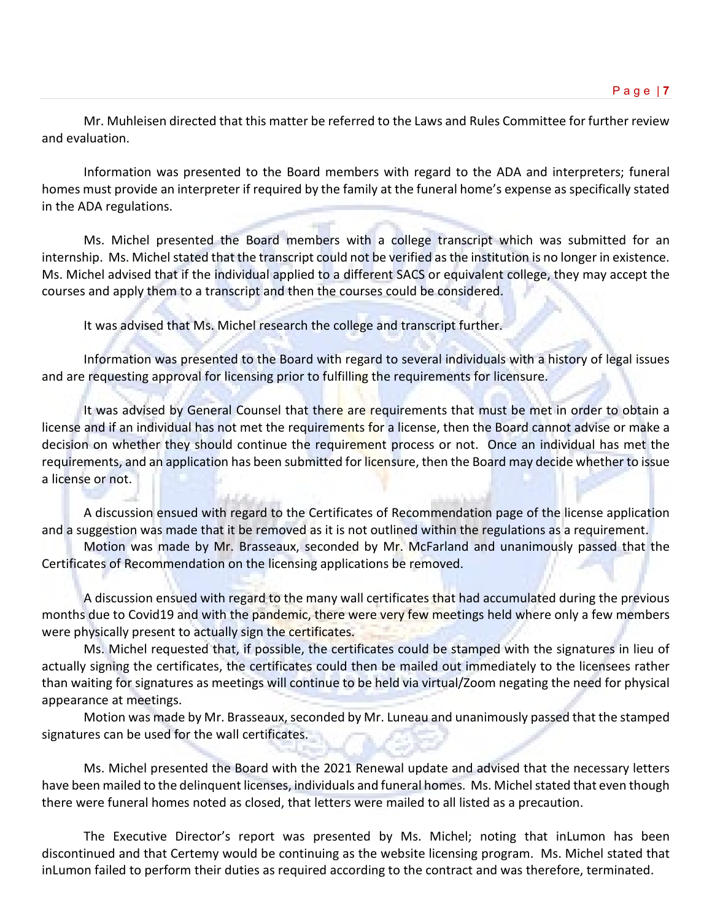Mr. Muhleisen directed that this matter be referred to the Laws and Rules Committee for further review and evaluation.

Information was presented to the Board members with regard to the ADA and interpreters; funeral homes must provide an interpreter if required by the family at the funeral home's expense as specifically stated in the ADA regulations.

Ms. Michel presented the Board members with a college transcript which was submitted for an internship. Ms. Michel stated that the transcript could not be verified as the institution is no longer in existence. Ms. Michel advised that if the individual applied to a different SACS or equivalent college, they may accept the courses and apply them to a transcript and then the courses could be considered.

It was advised that Ms. Michel research the college and transcript further.

Information was presented to the Board with regard to several individuals with a history of legal issues and are requesting approval for licensing prior to fulfilling the requirements for licensure.

It was advised by General Counsel that there are requirements that must be met in order to obtain a license and if an individual has not met the requirements for a license, then the Board cannot advise or make a decision on whether they should continue the requirement process or not. Once an individual has met the requirements, and an application has been submitted for licensure, then the Board may decide whether to issue a license or not.

A discussion ensued with regard to the Certificates of Recommendation page of the license application and a suggestion was made that it be removed as it is not outlined within the regulations as a requirement.

Motion was made by Mr. Brasseaux, seconded by Mr. McFarland and unanimously passed that the Certificates of Recommendation on the licensing applications be removed.

A discussion ensued with regard to the many wall certificates that had accumulated during the previous months due to Covid19 and with the pandemic, there were very few meetings held where only a few members were physically present to actually sign the certificates.

Ms. Michel requested that, if possible, the certificates could be stamped with the signatures in lieu of actually signing the certificates, the certificates could then be mailed out immediately to the licensees rather than waiting for signatures as meetings will continue to be held via virtual/Zoom negating the need for physical appearance at meetings.

Motion was made by Mr. Brasseaux, seconded by Mr. Luneau and unanimously passed that the stamped signatures can be used for the wall certificates.

Ms. Michel presented the Board with the 2021 Renewal update and advised that the necessary letters have been mailed to the delinquent licenses, individuals and funeral homes. Ms. Michel stated that even though there were funeral homes noted as closed, that letters were mailed to all listed as a precaution.

The Executive Director's report was presented by Ms. Michel; noting that inLumon has been discontinued and that Certemy would be continuing as the website licensing program. Ms. Michel stated that inLumon failed to perform their duties as required according to the contract and was therefore, terminated.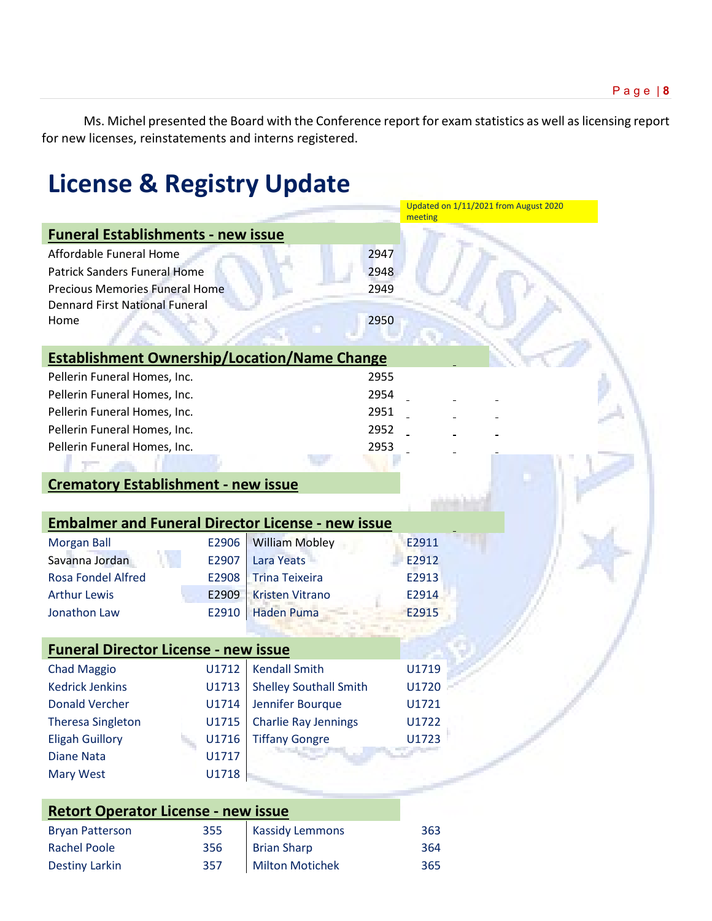Ms. Michel presented the Board with the Conference report for exam statistics as well as licensing report for new licenses, reinstatements and interns registered.

# **License & Registry Update**

|                                                          |       |                               | Updated on 1/11/2021 from August 2020<br>meeting |
|----------------------------------------------------------|-------|-------------------------------|--------------------------------------------------|
| <b>Funeral Establishments - new issue</b>                |       |                               |                                                  |
| Affordable Funeral Home                                  |       | 2947                          |                                                  |
| <b>Patrick Sanders Funeral Home</b>                      |       | 2948                          |                                                  |
| <b>Precious Memories Funeral Home</b>                    |       | 2949                          |                                                  |
| <b>Dennard First National Funeral</b>                    |       |                               |                                                  |
| Home                                                     |       | 2950                          |                                                  |
|                                                          |       |                               |                                                  |
| <b>Establishment Ownership/Location/Name Change</b>      |       |                               |                                                  |
| Pellerin Funeral Homes, Inc.                             |       | 2955                          |                                                  |
| Pellerin Funeral Homes, Inc.                             |       | 2954                          |                                                  |
| Pellerin Funeral Homes, Inc.                             |       | 2951                          |                                                  |
| Pellerin Funeral Homes, Inc.                             |       | 2952                          |                                                  |
| Pellerin Funeral Homes, Inc.                             |       | 2953                          |                                                  |
|                                                          |       |                               |                                                  |
| <b>Crematory Establishment - new issue</b>               |       |                               |                                                  |
|                                                          |       |                               |                                                  |
| <b>Embalmer and Funeral Director License - new issue</b> |       |                               |                                                  |
| <b>Morgan Ball</b>                                       | E2906 | <b>William Mobley</b>         | E2911                                            |
| Savanna Jordan                                           | E2907 | Lara Yeats                    | E2912                                            |
| <b>Rosa Fondel Alfred</b>                                | E2908 | <b>Trina Teixeira</b>         | E2913                                            |
| <b>Arthur Lewis</b>                                      | E2909 | <b>Kristen Vitrano</b>        | E2914                                            |
| Jonathon Law                                             | E2910 | <b>Haden Puma</b>             | E2915                                            |
|                                                          |       |                               |                                                  |
| <b>Funeral Director License - new issue</b>              |       |                               |                                                  |
| <b>Chad Maggio</b>                                       | U1712 | <b>Kendall Smith</b>          | U1719                                            |
| <b>Kedrick Jenkins</b>                                   | U1713 | <b>Shelley Southall Smith</b> | U1720                                            |
| <b>Donald Vercher</b>                                    | U1714 | Jennifer Bourque              | U1721                                            |
| <b>Theresa Singleton</b>                                 | U1715 | <b>Charlie Ray Jennings</b>   | U1722                                            |
| <b>Eligah Guillory</b>                                   | U1716 | <b>Tiffany Gongre</b>         | U1723                                            |
| <b>Diane Nata</b>                                        | U1717 |                               |                                                  |
| <b>Mary West</b>                                         | U1718 |                               |                                                  |
|                                                          |       |                               |                                                  |
| <b>Retort Operator License - new issue</b>               |       |                               |                                                  |

| -----------            |     |                        |     |
|------------------------|-----|------------------------|-----|
| <b>Bryan Patterson</b> | 355 | <b>Kassidy Lemmons</b> | 363 |
| <b>Rachel Poole</b>    | 356 | <b>Brian Sharp</b>     | 364 |
| <b>Destiny Larkin</b>  | 357 | Milton Motichek        | 365 |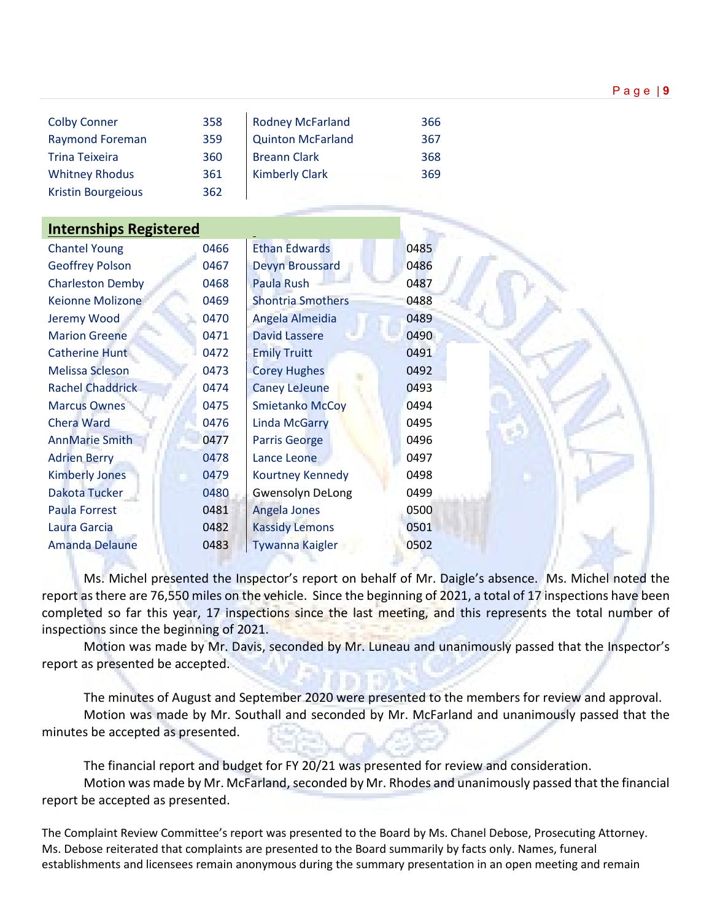| <b>Colby Conner</b>       | 358 | <b>Rodney McFarland</b>  | 366 |
|---------------------------|-----|--------------------------|-----|
| <b>Raymond Foreman</b>    | 359 | <b>Quinton McFarland</b> | 367 |
| <b>Trina Teixeira</b>     | 360 | <b>Breann Clark</b>      | 368 |
| <b>Whitney Rhodus</b>     | 361 | <b>Kimberly Clark</b>    | 369 |
| <b>Kristin Bourgeious</b> | 362 |                          |     |

| <b>Internships Registered</b> |      |                          |      |  |
|-------------------------------|------|--------------------------|------|--|
| <b>Chantel Young</b>          | 0466 | <b>Ethan Edwards</b>     | 0485 |  |
| <b>Geoffrey Polson</b>        | 0467 | <b>Devyn Broussard</b>   | 0486 |  |
| <b>Charleston Demby</b>       | 0468 | Paula Rush               | 0487 |  |
| Keionne Molizone              | 0469 | <b>Shontria Smothers</b> | 0488 |  |
| Jeremy Wood                   | 0470 | Angela Almeidia          | 0489 |  |
| <b>Marion Greene</b>          | 0471 | <b>David Lassere</b>     | 0490 |  |
| Catherine Hunt                | 0472 | <b>Emily Truitt</b>      | 0491 |  |
| <b>Melissa Scleson</b>        | 0473 | <b>Corey Hughes</b>      | 0492 |  |
| <b>Rachel Chaddrick</b>       | 0474 | <b>Caney LeJeune</b>     | 0493 |  |
| <b>Marcus Ownes</b>           | 0475 | <b>Smietanko McCoy</b>   | 0494 |  |
| <b>Chera Ward</b>             | 0476 | <b>Linda McGarry</b>     | 0495 |  |
| <b>AnnMarie Smith</b>         | 0477 | <b>Parris George</b>     | 0496 |  |
| <b>Adrien Berry</b>           | 0478 | Lance Leone              | 0497 |  |
| <b>Kimberly Jones</b>         | 0479 | Kourtney Kennedy         | 0498 |  |
| Dakota Tucker                 | 0480 | <b>Gwensolyn DeLong</b>  | 0499 |  |
| <b>Paula Forrest</b>          | 0481 | Angela Jones             | 0500 |  |
| Laura Garcia                  | 0482 | <b>Kassidy Lemons</b>    | 0501 |  |
| <b>Amanda Delaune</b>         | 0483 | <b>Tywanna Kaigler</b>   | 0502 |  |
|                               |      |                          |      |  |

Ms. Michel presented the Inspector's report on behalf of Mr. Daigle's absence. Ms. Michel noted the report as there are 76,550 miles on the vehicle. Since the beginning of 2021, a total of 17 inspections have been completed so far this year, 17 inspections since the last meeting, and this represents the total number of inspections since the beginning of 2021.

Motion was made by Mr. Davis, seconded by Mr. Luneau and unanimously passed that the Inspector's report as presented be accepted.

The minutes of August and September 2020 were presented to the members for review and approval. Motion was made by Mr. Southall and seconded by Mr. McFarland and unanimously passed that the minutes be accepted as presented.

The financial report and budget for FY 20/21 was presented for review and consideration. Motion was made by Mr. McFarland, seconded by Mr. Rhodes and unanimously passed that the financial report be accepted as presented.

The Complaint Review Committee's report was presented to the Board by Ms. Chanel Debose, Prosecuting Attorney. Ms. Debose reiterated that complaints are presented to the Board summarily by facts only. Names, funeral establishments and licensees remain anonymous during the summary presentation in an open meeting and remain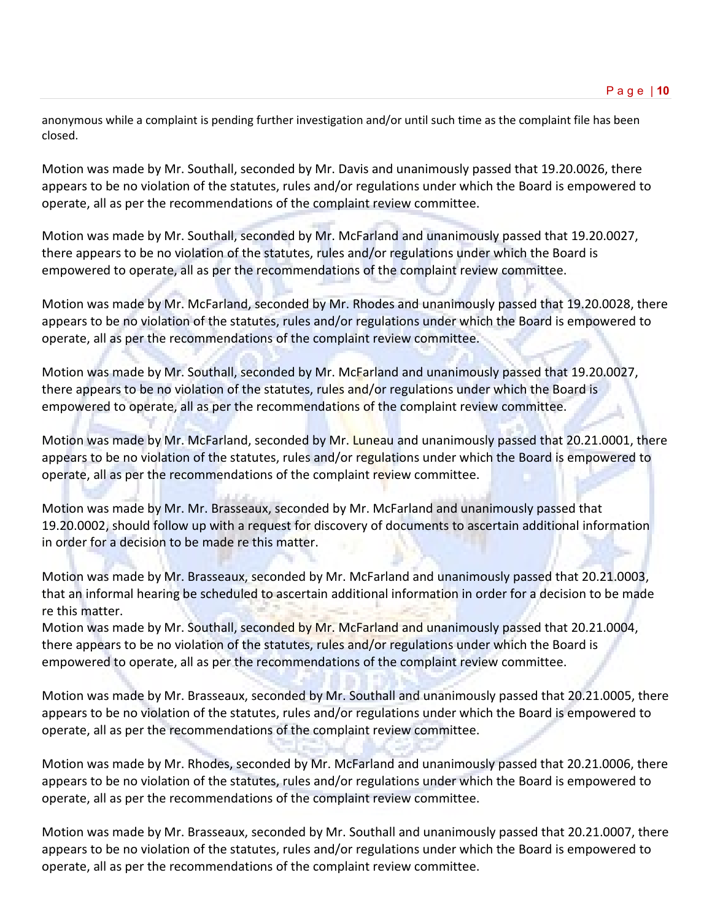anonymous while a complaint is pending further investigation and/or until such time as the complaint file has been closed.

Motion was made by Mr. Southall, seconded by Mr. Davis and unanimously passed that 19.20.0026, there appears to be no violation of the statutes, rules and/or regulations under which the Board is empowered to operate, all as per the recommendations of the complaint review committee.

Motion was made by Mr. Southall, seconded by Mr. McFarland and unanimously passed that 19.20.0027, there appears to be no violation of the statutes, rules and/or regulations under which the Board is empowered to operate, all as per the recommendations of the complaint review committee.

Motion was made by Mr. McFarland, seconded by Mr. Rhodes and unanimously passed that 19.20.0028, there appears to be no violation of the statutes, rules and/or regulations under which the Board is empowered to operate, all as per the recommendations of the complaint review committee.

Motion was made by Mr. Southall, seconded by Mr. McFarland and unanimously passed that 19.20.0027, there appears to be no violation of the statutes, rules and/or regulations under which the Board is empowered to operate, all as per the recommendations of the complaint review committee.

Motion was made by Mr. McFarland, seconded by Mr. Luneau and unanimously passed that 20.21.0001, there appears to be no violation of the statutes, rules and/or regulations under which the Board is empowered to operate, all as per the recommendations of the complaint review committee.

Motion was made by Mr. Mr. Brasseaux, seconded by Mr. McFarland and unanimously passed that 19.20.0002, should follow up with a request for discovery of documents to ascertain additional information in order for a decision to be made re this matter.

Motion was made by Mr. Brasseaux, seconded by Mr. McFarland and unanimously passed that 20.21.0003, that an informal hearing be scheduled to ascertain additional information in order for a decision to be made re this matter.

Motion was made by Mr. Southall, seconded by Mr. McFarland and unanimously passed that 20.21.0004, there appears to be no violation of the statutes, rules and/or regulations under which the Board is empowered to operate, all as per the recommendations of the complaint review committee.

Motion was made by Mr. Brasseaux, seconded by Mr. Southall and unanimously passed that 20.21.0005, there appears to be no violation of the statutes, rules and/or regulations under which the Board is empowered to operate, all as per the recommendations of the complaint review committee.

Motion was made by Mr. Rhodes, seconded by Mr. McFarland and unanimously passed that 20.21.0006, there appears to be no violation of the statutes, rules and/or regulations under which the Board is empowered to operate, all as per the recommendations of the complaint review committee.

Motion was made by Mr. Brasseaux, seconded by Mr. Southall and unanimously passed that 20.21.0007, there appears to be no violation of the statutes, rules and/or regulations under which the Board is empowered to operate, all as per the recommendations of the complaint review committee.